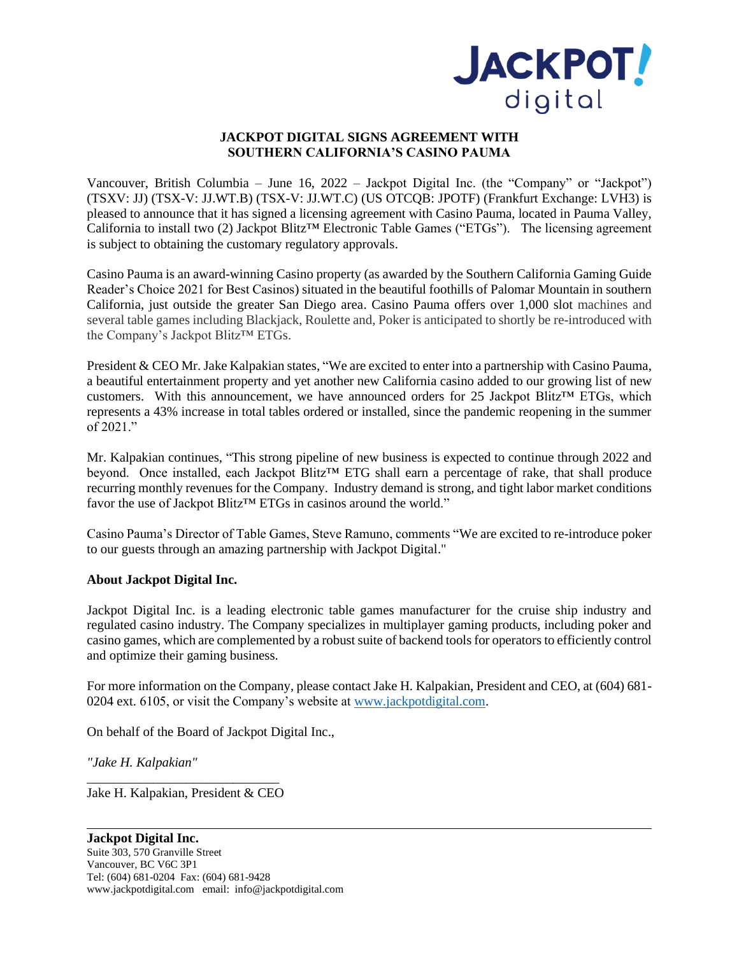

## **JACKPOT DIGITAL SIGNS AGREEMENT WITH SOUTHERN CALIFORNIA'S CASINO PAUMA**

Vancouver, British Columbia – June 16, 2022 – Jackpot Digital Inc. (the "Company" or "Jackpot") (TSXV: JJ) (TSX-V: JJ.WT.B) (TSX-V: JJ.WT.C) (US OTCQB: JPOTF) (Frankfurt Exchange: LVH3) is pleased to announce that it has signed a licensing agreement with Casino Pauma, located in Pauma Valley, California to install two (2) Jackpot Blitz™ Electronic Table Games ("ETGs"). The licensing agreement is subject to obtaining the customary regulatory approvals.

Casino Pauma is an award-winning Casino property (as awarded by the Southern California Gaming Guide Reader's Choice 2021 for Best Casinos) situated in the beautiful foothills of Palomar Mountain in southern California, just outside the greater San Diego area. Casino Pauma offers over 1,000 slot machines and several table games including Blackjack, Roulette and, Poker is anticipated to shortly be re-introduced with the Company's Jackpot Blitz™ ETGs.

President & CEO Mr. Jake Kalpakian states, "We are excited to enter into a partnership with Casino Pauma, a beautiful entertainment property and yet another new California casino added to our growing list of new customers. With this announcement, we have announced orders for 25 Jackpot Blitz™ ETGs, which represents a 43% increase in total tables ordered or installed, since the pandemic reopening in the summer of 2021."

Mr. Kalpakian continues, "This strong pipeline of new business is expected to continue through 2022 and beyond. Once installed, each Jackpot Blitz™ ETG shall earn a percentage of rake, that shall produce recurring monthly revenues for the Company. Industry demand is strong, and tight labor market conditions favor the use of Jackpot Blitz™ ETGs in casinos around the world."

Casino Pauma's Director of Table Games, Steve Ramuno, comments "We are excited to re-introduce poker to our guests through an amazing partnership with Jackpot Digital."

## **About Jackpot Digital Inc.**

Jackpot Digital Inc. is a leading electronic table games manufacturer for the cruise ship industry and regulated casino industry. The Company specializes in multiplayer gaming products, including poker and casino games, which are complemented by a robust suite of backend tools for operators to efficiently control and optimize their gaming business.

For more information on the Company, please contact Jake H. Kalpakian, President and CEO, at (604) 681- 0204 ext. 6105, or visit the Company's website at [www.jackpotdigital.com.](http://www.jackpotdigital.com/)

On behalf of the Board of Jackpot Digital Inc.,

*"Jake H. Kalpakian"* 

\_\_\_\_\_\_\_\_\_\_\_\_\_\_\_\_\_\_\_\_\_\_\_\_\_\_\_\_\_ Jake H. Kalpakian, President & CEO